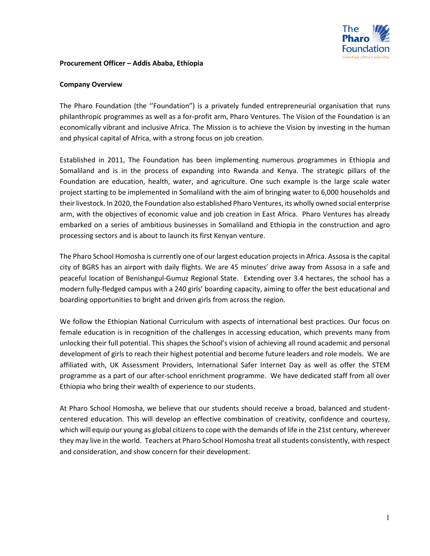

#### **Procurement Officer – Addis Ababa, Ethiopia**

#### **Company Overview**

The Pharo Foundation (the ''Foundation") is a privately funded entrepreneurial organisation that runs philanthropic programmes as well as a for-profit arm, Pharo Ventures. The Vision of the Foundation is an economically vibrant and inclusive Africa. The Mission is to achieve the Vision by investing in the human and physical capital of Africa, with a strong focus on job creation.

Established in 2011, The Foundation has been implementing numerous programmes in Ethiopia and Somaliland and is in the process of expanding into Rwanda and Kenya. The strategic pillars of the Foundation are education, health, water, and agriculture. One such example is the large scale water project starting to be implemented in Somaliland with the aim of bringing water to 6,000 households and their livestock. In 2020, the Foundation also established Pharo Ventures, its wholly owned social enterprise arm, with the objectives of economic value and job creation in East Africa. Pharo Ventures has already embarked on a series of ambitious businesses in Somaliland and Ethiopia in the construction and agro processing sectors and is about to launch its first Kenyan venture.

The Pharo School Homosha is currently one of our largest education projects in Africa. Assosa is the capital city of BGRS has an airport with daily flights. We are 45 minutes' drive away from Assosa in a safe and peaceful location of Benishangul-Gumuz Regional State. Extending over 3.4 hectares, the school has a modern fully-fledged campus with a 240 girls' boarding capacity, aiming to offer the best educational and boarding opportunities to bright and driven girls from across the region.

We follow the Ethiopian National Curriculum with aspects of international best practices. Our focus on female education is in recognition of the challenges in accessing education, which prevents many from unlocking their full potential. This shapes the School's vision of achieving all round academic and personal development of girls to reach their highest potential and become future leaders and role models. We are affiliated with, UK Assessment Providers, International Safer Internet Day as well as offer the STEM programme as a part of our after-school enrichment programme. We have dedicated staff from all over Ethiopia who bring their wealth of experience to our students.

At Pharo School Homosha, we believe that our students should receive a broad, balanced and studentcentered education. This will develop an effective combination of creativity, confidence and courtesy, which will equip our young as global citizens to cope with the demands of life in the 21st century, wherever they may live in the world. Teachers at Pharo School Homosha treat all students consistently, with respect and consideration, and show concern for their development.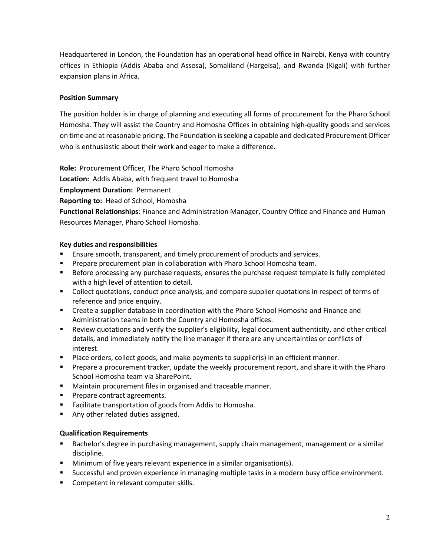Headquartered in London, the Foundation has an operational head office in Nairobi, Kenya with country offices in Ethiopia (Addis Ababa and Assosa), Somaliland (Hargeisa), and Rwanda (Kigali) with further expansion plans in Africa.

## **Position Summary**

The position holder is in charge of planning and executing all forms of procurement for the Pharo School Homosha. They will assist the Country and Homosha Offices in obtaining high-quality goods and services on time and at reasonable pricing. The Foundation is seeking a capable and dedicated Procurement Officer who is enthusiastic about their work and eager to make a difference.

**Role:** Procurement Officer, The Pharo School Homosha

**Location:** Addis Ababa, with frequent travel to Homosha

**Employment Duration:** Permanent

**Reporting to:** Head of School, Homosha

**Functional Relationships**: Finance and Administration Manager, Country Office and Finance and Human Resources Manager, Pharo School Homosha.

## **Key duties and responsibilities**

- Ensure smooth, transparent, and timely procurement of products and services.
- Prepare procurement plan in collaboration with Pharo School Homosha team.
- Before processing any purchase requests, ensures the purchase request template is fully completed with a high level of attention to detail.
- Collect quotations, conduct price analysis, and compare supplier quotations in respect of terms of reference and price enquiry.
- **EXTERGHT 2018 Create a supplier database in coordination with the Pharo School Homosha and Finance and** Administration teams in both the Country and Homosha offices.
- Review quotations and verify the supplier's eligibility, legal document authenticity, and other critical details, and immediately notify the line manager if there are any uncertainties or conflicts of interest.
- **Place orders, collect goods, and make payments to supplier(s) in an efficient manner.**
- Prepare a procurement tracker, update the weekly procurement report, and share it with the Pharo School Homosha team via SharePoint.
- Maintain procurement files in organised and traceable manner.
- Prepare contract agreements.
- Facilitate transportation of goods from Addis to Homosha.
- Any other related duties assigned.

# **Qualification Requirements**

- **Bachelor's degree in purchasing management, supply chain management, management or a similar** discipline.
- **Minimum of five years relevant experience in a similar organisation(s).**
- Successful and proven experience in managing multiple tasks in a modern busy office environment.
- **Competent in relevant computer skills.**